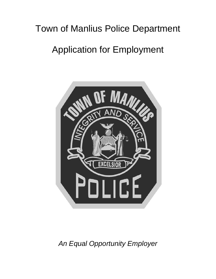# Town of Manlius Police Department

# Application for Employment



*An Equal Opportunity Employer*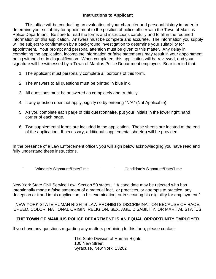# **Instructions to Applicant**

This office will be conducting an evaluation of your character and personal history in order to determine your suitability for appointment to the position of police officer with the Town of Manlius Police Department. Be sure to read the forms and instructions carefully and to fill in the required information on this application. Answers must be complete and accurate. The information you supply will be subject to confirmation by a background investigation to determine your suitability for appointment. Your prompt and personal attention must be given to this matter. Any delay in completing the application, incomplete information or false statements may result in your appointment being withheld or in disqualification. When completed, this application will be reviewed, and your signature will be witnessed by a Town of Manlius Police Department employee. Bear in mind that:

- 1. The applicant must personally complete all portions of this form.
- 2. The answers to all questions must be printed in blue ink.
- 3. All questions must be answered as completely and truthfully.
- 4. If any question does not apply, signify so by entering "N/A" (Not Applicable).
- 5. As you complete each page of this questionnaire, put your initials in the lower right hand corner of each page.
- 6. Two supplemental forms are included in the application. These sheets are located at the end of the application. If necessary, additional supplemental sheet(s) will be provided.

In the presence of a Law Enforcement officer, you will sign below acknowledging you have read and fully understand these instructions.

Witness's Signature/Date/Time Candidate's Signature/Date/Time

New York State Civil Service Law, Section 50 states: " A candidate may be rejected who has intentionally made a false statement of a material fact, or practices, or attempts to practice, any deception or fraud in his application, in his examination, or in securing his eligibility for employment."

NEW YORK STATE HUMAN RIGHTS LAW PROHIBITS DISCRIMINATION BECAUSE OF RACE, CREED, COLOR, NATIONAL ORIGIN, RELIGION, SEX, AGE, DISABILITY, OR MARITAL STATUS.

# **THE TOWN OF MANLIUS POLICE DEPARTMENT IS AN EQUAL OPPORTUNITY EMPLOYER**

If you have any questions regarding any matters pertaining to this form, please contact:

The State Division of Human Rights 100 New Street Syracuse, New York 13202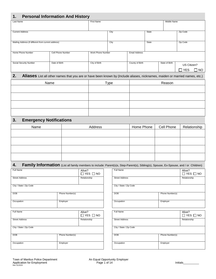| <b>Personal Information And History</b><br>1.       |                   |                   |      |                      |       |                |             |     |
|-----------------------------------------------------|-------------------|-------------------|------|----------------------|-------|----------------|-------------|-----|
| Last Name                                           |                   | First Name        |      |                      |       | Middle Name    |             |     |
| <b>Current Address</b>                              |                   |                   | City |                      | State |                | Zip Code    |     |
| Mailing Address (if different from current address) |                   |                   | City |                      | State |                | Zip Code    |     |
| Home Phone Number                                   | Cell Phone Number | Work Phone Number |      | <b>Email Address</b> |       |                |             |     |
| Social Security Number                              | Date of Birth     | City of Birth     |      | County of Birth      |       | State of Birth | US Citizen? |     |
|                                                     |                   |                   |      |                      |       |                | YES         | NO. |

# **2. Aliases** List all other names that you are or have been known by (Include aliases, nicknames, maiden or married names, etc.)

| Name | Type | Reason |
|------|------|--------|
|      |      |        |
|      |      |        |
|      |      |        |
|      |      |        |
|      |      |        |

# **3. Emergency Notifications**

| Name | Address | Home Phone | Cell Phone | Relationship |
|------|---------|------------|------------|--------------|
|      |         |            |            |              |
|      |         |            |            |              |
|      |         |            |            |              |
|      |         |            |            |              |
|      |         |            |            |              |

# 4. Family Information (List all family members to include: Parent(s)s, Step-Parent(s), Sibling(s), Spouse, Ex-Spouse, and / or Children)

| Full Name               |                 | Alive?<br>$\Box$ YES $\Box$ NO | Full Name               |                 | Alive?<br>$\square$ YES |
|-------------------------|-----------------|--------------------------------|-------------------------|-----------------|-------------------------|
| <b>Street Address</b>   |                 | Relationship                   | <b>Street Address</b>   |                 | Relationship            |
| City / State / Zip Code |                 |                                | City / State / Zip Code |                 |                         |
| <b>DOB</b>              | Phone Number(s) |                                | <b>DOB</b>              | Phone Number(s) |                         |
| Occupation              | Employer        |                                | Occupation              | Employer        |                         |
| Full Name               |                 | Alive?<br>$\Box$ YES $\Box$ NO | Full Name               |                 | Alive?<br>$\square$ YES |
| <b>Street Address</b>   |                 | Relationship                   | <b>Street Address</b>   |                 | Relationship            |
| City / State / Zip Code |                 |                                | City / State / Zip Code |                 |                         |
| <b>DOB</b>              | Phone Number(s) |                                | <b>DOB</b>              | Phone Number(s) |                         |
| Occupation              | Employer        |                                | Occupation              | Employer        |                         |
|                         |                 |                                |                         |                 |                         |

| Full Name               |                 | Alive?<br>$\Box$ YES $\Box$ NO |
|-------------------------|-----------------|--------------------------------|
| <b>Street Address</b>   |                 | Relationship                   |
| City / State / Zip Code |                 |                                |
| <b>DOB</b>              | Phone Number(s) |                                |
| Occupation              | Employer        |                                |
|                         |                 |                                |
| Full Name               |                 | Alive?<br>$\Box$ YES $\Box$ NO |
| <b>Street Address</b>   |                 | Relationship                   |
| City / State / Zip Code |                 |                                |

| <b>DOB</b> | Phone Number(s) |
|------------|-----------------|
| Occupation | Employer        |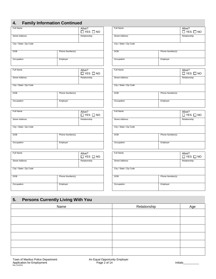|  |  | <b>Family Information Continued</b> |  |
|--|--|-------------------------------------|--|
|--|--|-------------------------------------|--|

| Full Name               |                 | Alive?<br>$\Box$ YES $\Box$ NO | Full Name               |                 | Alive?<br>$\Box$ YES |
|-------------------------|-----------------|--------------------------------|-------------------------|-----------------|----------------------|
| <b>Street Address</b>   |                 | Relationship                   | <b>Street Address</b>   |                 | Relationship         |
| City / State / Zip Code |                 |                                | City / State / Zip Code |                 |                      |
| <b>DOB</b>              | Phone Number(s) |                                | <b>DOB</b>              | Phone Number(s) |                      |
| Occupation              | Employer        |                                | Occupation              | Employer        |                      |

| Full Name               |                 | Alive?<br>$\Box$ YES $\Box$ NO | Full Name               |                 | Alive?<br>$\Box$ YES |
|-------------------------|-----------------|--------------------------------|-------------------------|-----------------|----------------------|
| <b>Street Address</b>   |                 | Relationship                   | <b>Street Address</b>   |                 | Relationship         |
| City / State / Zip Code |                 |                                | City / State / Zip Code |                 |                      |
| <b>DOB</b>              | Phone Number(s) |                                | <b>DOB</b>              | Phone Number(s) |                      |
| Occupation              | Employer        |                                | Occupation              | Employer        |                      |

| Full Name               |                 | Alive?<br>$\Box$ YES $\Box$ NO | Full Name               |                 | Alive?<br>$\Box$ YES |
|-------------------------|-----------------|--------------------------------|-------------------------|-----------------|----------------------|
| <b>Street Address</b>   |                 | Relationship                   | <b>Street Address</b>   |                 | Relationship         |
| City / State / Zip Code |                 |                                | City / State / Zip Code |                 |                      |
| <b>DOB</b>              | Phone Number(s) |                                | <b>DOB</b>              | Phone Number(s) |                      |
| Occupation              | Employer        |                                | Occupation              | Employer        |                      |
| Full Name               |                 | Alive?<br>$\Box$ YES $\Box$ NO | Full Name               |                 | Alive?<br>$\Box$ YES |

| <b>UNDER AUGHOOD</b>          |          | <b>INCIGRIORISHIP</b> | <b>ULL DUL AUGHT DOO</b> |                 |
|-------------------------------|----------|-----------------------|--------------------------|-----------------|
| City / State / Zip Code       |          |                       | City / State / Zip Code  |                 |
| <b>DOB</b><br>Phone Number(s) |          |                       | <b>DOB</b>               | Phone Number(s) |
| Occupation                    | Employer |                       | Occupation               | Employer        |
|                               |          |                       |                          |                 |

| 4.                      | <b>Family Information Continued</b> |                                |                         |                 |                                |
|-------------------------|-------------------------------------|--------------------------------|-------------------------|-----------------|--------------------------------|
| <b>Full Name</b>        |                                     | Alive?<br>$\Box$ YES $\Box$ NO | Full Name               |                 | Alive?<br>$\Box$ YES $\Box$ NO |
| <b>Street Address</b>   |                                     | Relationship                   | <b>Street Address</b>   |                 | Relationship                   |
| City / State / Zip Code |                                     |                                | City / State / Zip Code |                 |                                |
| DOB                     | Phone Number(s)                     |                                | <b>DOB</b>              | Phone Number(s) |                                |
| Occupation              | Employer                            |                                | Occupation              | Employer        |                                |
| <b>Full Name</b>        |                                     | Alive?<br>$\Box$ YES $\Box$ NO | Full Name               |                 | Alive?<br>$\Box$ YES $\Box$ NO |
| <b>Street Address</b>   |                                     | Relationship                   | <b>Street Address</b>   |                 | Relationship                   |
| City / State / Zip Code |                                     |                                | City / State / Zip Code |                 |                                |
| DOB                     | Phone Number(s)                     |                                | DOB                     | Phone Number(s) |                                |
| Occupation              | Employer                            |                                | Occupation              | Employer        |                                |
| <b>Full Name</b>        |                                     | Alive?<br>$\Box$ YES $\Box$ NO | Full Name               |                 | Alive?<br>$\Box$ YES $\Box$ NO |
| <b>Street Address</b>   |                                     | Relationship                   | <b>Street Address</b>   |                 | Relationship                   |
| City / State / Zip Code |                                     |                                | City / State / Zip Code |                 |                                |
| DOB                     | Phone Number(s)                     |                                | <b>DOB</b>              | Phone Number(s) |                                |
| Occupation              | Employer                            |                                | Occupation              | Employer        |                                |
| <b>Full Name</b>        |                                     | Alive?<br>$\Box$ YES $\Box$ NO | <b>Full Name</b>        |                 | Alive?<br>$\Box$ YES $\Box$ NO |
| <b>Street Address</b>   |                                     | Relationship                   | <b>Street Address</b>   |                 | Relationship                   |
| City / State / Zip Code |                                     |                                | City / State / Zip Code |                 |                                |
| DOB                     | Phone Number(s)                     |                                | <b>DOB</b>              | Phone Number(s) |                                |

| 5. | <b>Persons Currently Living With You</b> |              |     |
|----|------------------------------------------|--------------|-----|
|    | Name                                     | Relationship | Age |
|    |                                          |              |     |
|    |                                          |              |     |
|    |                                          |              |     |
|    |                                          |              |     |
|    |                                          |              |     |
|    |                                          |              |     |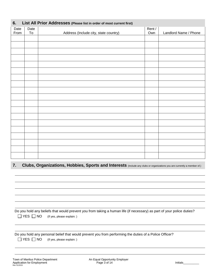| List All Prior Addresses (Please list in order of most current first)<br>6. |      |                                       |        |                       |  |  |  |  |
|-----------------------------------------------------------------------------|------|---------------------------------------|--------|-----------------------|--|--|--|--|
| Date                                                                        | Date |                                       | Rent / |                       |  |  |  |  |
| From                                                                        | To   | Address (Include city, state country) | Own    | Landlord Name / Phone |  |  |  |  |
|                                                                             |      |                                       |        |                       |  |  |  |  |
|                                                                             |      |                                       |        |                       |  |  |  |  |
|                                                                             |      |                                       |        |                       |  |  |  |  |
|                                                                             |      |                                       |        |                       |  |  |  |  |
|                                                                             |      |                                       |        |                       |  |  |  |  |
|                                                                             |      |                                       |        |                       |  |  |  |  |
|                                                                             |      |                                       |        |                       |  |  |  |  |
|                                                                             |      |                                       |        |                       |  |  |  |  |
|                                                                             |      |                                       |        |                       |  |  |  |  |
|                                                                             |      |                                       |        |                       |  |  |  |  |
|                                                                             |      |                                       |        |                       |  |  |  |  |
|                                                                             |      |                                       |        |                       |  |  |  |  |
|                                                                             |      |                                       |        |                       |  |  |  |  |
|                                                                             |      |                                       |        |                       |  |  |  |  |
|                                                                             |      |                                       |        |                       |  |  |  |  |
|                                                                             |      |                                       |        |                       |  |  |  |  |
|                                                                             |      |                                       |        |                       |  |  |  |  |
|                                                                             |      |                                       |        |                       |  |  |  |  |
|                                                                             |      |                                       |        |                       |  |  |  |  |
|                                                                             |      |                                       |        |                       |  |  |  |  |

#### **7. Clubs, Organizations, Hobbies, Sports and Interests** (Include any clubs or organizations you are currently a member of.)

| Do you hold any beliefs that would prevent you from taking a human life (if necessary) as part of your police duties? |                                                 |  |  |  |  |  |
|-----------------------------------------------------------------------------------------------------------------------|-------------------------------------------------|--|--|--|--|--|
|                                                                                                                       | $\Box$ YES $\Box$ NO (If yes, please explain: ) |  |  |  |  |  |

 Do you hold any personal belief that would prevent you from performing the duties of a Police Officer? □ YES □ NO (If yes, please explain: )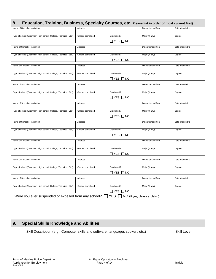# **8. Education, Training, Business, Specialty Courses, etc.(Please list in order of most current first)**

| Name of School or Institution                                   | Address          |                                   | Date attended from | Date attended to |
|-----------------------------------------------------------------|------------------|-----------------------------------|--------------------|------------------|
| Type of school (Grammar, High school, College, Technical, Etc.) | Grades completed | Graduated?                        | Major (If any)     | Degree           |
|                                                                 |                  |                                   |                    |                  |
|                                                                 |                  | $\Box$ YES $\Box$ NO              |                    |                  |
| Name of School or Institution                                   | Address          |                                   | Date attended from | Date attended to |
|                                                                 |                  |                                   |                    |                  |
| Type of school (Grammar, High school, College, Technical, Etc.) | Grades completed | Graduated?                        | Major (If any)     | Degree           |
|                                                                 |                  | $\Box$ YES $\Box$ NO              |                    |                  |
|                                                                 |                  |                                   |                    |                  |
| Name of School or Institution                                   | Address          |                                   | Date attended from | Date attended to |
|                                                                 |                  |                                   |                    |                  |
| Type of school (Grammar, High school, College, Technical, Etc.) | Grades completed | Graduated?                        | Major (If any)     | Degree           |
|                                                                 |                  | $\Box$ YES $\Box$ NO              |                    |                  |
| Name of School or Institution                                   | Address          |                                   | Date attended from | Date attended to |
|                                                                 |                  |                                   |                    |                  |
| Type of school (Grammar, High school, College, Technical, Etc.) | Grades completed | Graduated?                        | Major (If any)     | Degree           |
|                                                                 |                  | ⊟ YES □ NO                        |                    |                  |
|                                                                 |                  |                                   |                    |                  |
| Name of School or Institution                                   | Address          |                                   | Date attended from | Date attended to |
|                                                                 |                  |                                   |                    |                  |
| Type of school (Grammar, High school, College, Technical, Etc.) | Grades completed | Graduated?                        | Major (If any)     | Degree           |
|                                                                 |                  | $\Box$ YES $\Box$ NO              |                    |                  |
|                                                                 |                  |                                   |                    |                  |
| Name of School or Institution                                   | Address          |                                   | Date attended from | Date attended to |
| Type of school (Grammar, High school, College, Technical, Etc.) | Grades completed | Graduated?                        | Major (If any)     | Degree           |
|                                                                 |                  |                                   |                    |                  |
|                                                                 |                  | $\Box$ Yes $\Box$ No              |                    |                  |
| Name of School or Institution                                   | Address          |                                   | Date attended from | Date attended to |
|                                                                 |                  |                                   |                    |                  |
| Type of school (Grammar, High school, College, Technical, Etc.) | Grades completed | Graduated?                        | Major (If any)     | Degree           |
|                                                                 |                  | ⊟ YES □ NO                        |                    |                  |
|                                                                 |                  |                                   |                    |                  |
| Name of School or Institution                                   | Address          |                                   | Date attended from | Date attended to |
|                                                                 |                  |                                   |                    |                  |
| Type of school (Grammar, High school, College, Technical, Etc.) | Grades completed | Graduated?                        | Major (If any)     | Degree           |
|                                                                 |                  | $\Box$ YES $\Box$ NO              |                    |                  |
| Name of School or Institution                                   | Address          |                                   | Date attended from | Date attended to |
|                                                                 |                  |                                   |                    |                  |
| Type of school (Grammar, High school, College, Technical, Etc.) | Grades completed | Graduated?                        | Major (If any)     | Degree           |
|                                                                 |                  |                                   |                    |                  |
|                                                                 |                  | $\Box$ YES $\Box$ NO              |                    |                  |
| Were you ever suspended or expelled from any school? $\Box$     |                  | YES NO (If yes, please explain: ) |                    |                  |

# **9. Special Skills Knowledge and Abilities**  Skill Description (e.g., Computer skills and software, languages spoken, etc.) Skill Level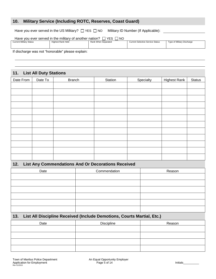#### **10. Military Service (Including ROTC, Reserves, Coast Guard)**

Have you ever served in the US Military?  $\Box$  YES  $\Box$  NO Military ID Number (If Applicable):

| Have you ever served in the military of another nation?<br><b>YES</b><br>NO. |                   |                     |                                         |                            |  |  |  |
|------------------------------------------------------------------------------|-------------------|---------------------|-----------------------------------------|----------------------------|--|--|--|
| <b>Current Military Status</b>                                               | Highest Rank Held | Rank When Separated | <b>Current Selective Service Status</b> | Type of Military Discharge |  |  |  |
|                                                                              |                   |                     |                                         |                            |  |  |  |
|                                                                              |                   |                     |                                         |                            |  |  |  |
|                                                                              |                   |                     |                                         |                            |  |  |  |
| the contract of the contract of                                              | __________        |                     |                                         |                            |  |  |  |

If discharge was not "honorable" please explain:

#### **11. List All Duty Stations**

| Date From | Date To | <b>Branch</b> | Station | Specialty | <b>Highest Rank</b> | Status |
|-----------|---------|---------------|---------|-----------|---------------------|--------|
|           |         |               |         |           |                     |        |
|           |         |               |         |           |                     |        |
|           |         |               |         |           |                     |        |
|           |         |               |         |           |                     |        |
|           |         |               |         |           |                     |        |
|           |         |               |         |           |                     |        |
|           |         |               |         |           |                     |        |
|           |         |               |         |           |                     |        |
|           |         |               |         |           |                     |        |
|           |         |               |         |           |                     |        |
|           |         |               |         |           |                     |        |
|           |         |               |         |           |                     |        |

#### **12. List Any Commendations And Or Decorations Received**

| Date | Commendation | Reason |
|------|--------------|--------|
|      |              |        |
|      |              |        |
|      |              |        |
|      |              |        |
|      |              |        |
|      |              |        |

#### **13. List All Discipline Received (Include Demotions, Courts Martial, Etc.)**

| Date | <b>Discipline</b> | Reason |
|------|-------------------|--------|
|      |                   |        |
|      |                   |        |
|      |                   |        |
|      |                   |        |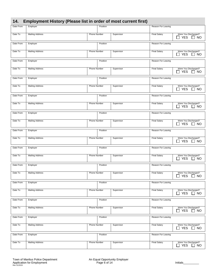|  |  | 14. Employment History (Please list in order of most current first) |  |
|--|--|---------------------------------------------------------------------|--|
|--|--|---------------------------------------------------------------------|--|

|           | , ,                    |                     |          | $\mathbf{r}$ |                     |                                                              |
|-----------|------------------------|---------------------|----------|--------------|---------------------|--------------------------------------------------------------|
| Date From | Employer               |                     | Position |              | Reason For Leaving  |                                                              |
| Date To   | <b>Mailing Address</b> | Phone Number        |          | Supervisor   | <b>Final Salary</b> | Were You Discharged?<br>$\Box$ YES<br>$\Box$ NO              |
| Date From | Employer               |                     | Position |              | Reason For Leaving  |                                                              |
| Date To   | <b>Mailing Address</b> | Phone Number        |          | Supervisor   | <b>Final Salary</b> | Were You Discharged?<br>$\Box$ YES<br>$\Box$ NO              |
| Date From | Employer               |                     | Position |              | Reason For Leaving  |                                                              |
| Date To   | <b>Mailing Address</b> | Phone Number        |          | Supervisor   | <b>Final Salary</b> | Were You Discharged?<br>$\Box$ YES<br>$\Box$ NO              |
| Date From | Employer               |                     | Position |              | Reason For Leaving  |                                                              |
| Date To   | <b>Mailing Address</b> | Phone Number        |          | Supervisor   | <b>Final Salary</b> | Were You Discharged?<br>$\Box$ YES<br>$\Box$ NO              |
| Date From | Employer               |                     | Position |              | Reason For Leaving  |                                                              |
| Date To   | <b>Mailing Address</b> | Phone Number        |          | Supervisor   | <b>Final Salary</b> | Were You Discharged?<br>$\Box$ YES<br>$\sqsupset$ NO         |
| Date From | Employer               |                     | Position |              | Reason For Leaving  |                                                              |
| Date To   | <b>Mailing Address</b> | Phone Number        |          | Supervisor   | <b>Final Salary</b> | Were You Discharged?<br>$\Box$ YES<br>$\Box$ NO              |
| Date From | Employer               |                     | Position |              | Reason For Leaving  |                                                              |
| Date To   | <b>Mailing Address</b> | Phone Number        |          | Supervisor   | <b>Final Salary</b> | Were You Discharged?<br><b>YES</b><br><b>NO</b><br>ΙI        |
| Date From | Employer               |                     | Position |              | Reason For Leaving  |                                                              |
| Date To   | <b>Mailing Address</b> | Phone Number        |          | Supervisor   | <b>Final Salary</b> | Were You Discharged?<br>$\Box$ YES<br><b>NO</b>              |
| Date From | Employer               |                     | Position |              | Reason For Leaving  |                                                              |
| Date To   | <b>Mailing Address</b> | Phone Number        |          | Supervisor   | <b>Final Salary</b> | Were You Discharged?<br><b>YES</b><br>NO                     |
| Date From | Employer               |                     | Position |              | Reason For Leaving  |                                                              |
| Date To   | <b>Mailing Address</b> | Phone Number        |          | Supervisor   | <b>Final Salary</b> | Were You Discharged?<br><b>YES</b><br>NO                     |
| Date From | Employer               |                     | Position |              | Reason For Leaving  |                                                              |
| Date To   | <b>Mailing Address</b> | <b>Phone Number</b> |          | Supervisor   | <b>Final Salary</b> | Were You Discharged?<br>$\Box$ YES<br>$\Box$ NO              |
| Date From | Employer               |                     | Position |              | Reason For Leaving  |                                                              |
| Date To   | <b>Mailing Address</b> | Phone Number        |          | Supervisor   | <b>Final Salary</b> | Were You Discharged?<br><b>YES</b><br>$\blacksquare$<br>ר NO |
| Date From | Employer               |                     | Position |              | Reason For Leaving  |                                                              |
| Date To   | <b>Mailing Address</b> | Phone Number        |          | Supervisor   | <b>Final Salary</b> | Were You Discharged?<br><b>YES</b><br><b>NO</b><br>$\Box$    |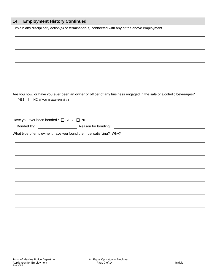# **14. Employment History Continued**

Explain any disciplinary action(s) or termination(s) connected with any of the above employment.

| □ YES □ NO (If yes, please explain: ) | Are you now, or have you ever been an owner or officer of any business engaged in the sale of alcoholic beverages? |
|---------------------------------------|--------------------------------------------------------------------------------------------------------------------|
|                                       |                                                                                                                    |
| Have you ever been bonded? □ YES □ NO |                                                                                                                    |
|                                       | <u> Alexandria de la conte</u>                                                                                     |
|                                       |                                                                                                                    |
|                                       |                                                                                                                    |
|                                       |                                                                                                                    |
|                                       |                                                                                                                    |
|                                       |                                                                                                                    |
|                                       |                                                                                                                    |
|                                       |                                                                                                                    |
|                                       |                                                                                                                    |
|                                       |                                                                                                                    |
|                                       |                                                                                                                    |
|                                       |                                                                                                                    |
|                                       |                                                                                                                    |
|                                       |                                                                                                                    |
|                                       |                                                                                                                    |
|                                       |                                                                                                                    |
|                                       |                                                                                                                    |
|                                       |                                                                                                                    |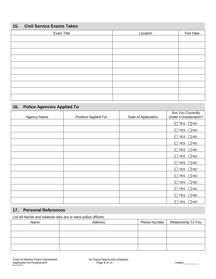# **15. Civil Service Exams Taken**

| Exam Title | Location | <b>Test Date</b> |
|------------|----------|------------------|
|            |          |                  |
|            |          |                  |
|            |          |                  |
|            |          |                  |
|            |          |                  |
|            |          |                  |
|            |          |                  |
|            |          |                  |
|            |          |                  |
|            |          |                  |

# **16. Police Agencies Applied To**

|                    |                      | Date of Application | Are You Currently<br><b>Under Consideration?</b> |
|--------------------|----------------------|---------------------|--------------------------------------------------|
| <b>Agency Name</b> | Position Applied For |                     |                                                  |
|                    |                      |                     | $\Box$ YES $\Box$ NO                             |
|                    |                      |                     | $\Box$ YES $\Box$ NO                             |
|                    |                      |                     | $\Box$ YES $\Box$ NO                             |
|                    |                      |                     | $\Box$ YES $\Box$ NO                             |
|                    |                      |                     | $\Box$ YES $\Box$ NO                             |
|                    |                      |                     | $\Box$ YES<br><b>NO</b><br>$\Box$                |
|                    |                      |                     | $\Box$ YES $\Box$ NO                             |
|                    |                      |                     | $\Box$ YES $\Box$ NO                             |
|                    |                      |                     | $\Box$ YES $\Box$ NO                             |
|                    |                      |                     | $\Box$ YES $\Box$ NO                             |
|                    |                      |                     | $\Box$ YES<br><b>NO</b><br>$\Box$                |
|                    |                      |                     | $\Box$ YES<br>$\Box$ NO                          |
|                    |                      |                     | $\square$ YES<br>$\Box$ NO                       |

#### **17. Personal References**

List all friends and relatives who are or were police officers.

| Name | Address | Phone Number | Relationship To You |
|------|---------|--------------|---------------------|
|      |         |              |                     |
|      |         |              |                     |
|      |         |              |                     |
|      |         |              |                     |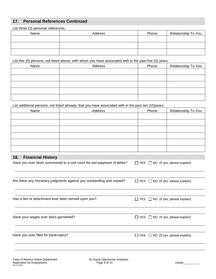# **17. Personal References Continued**

List three (3) personal references.

| Name | Address | Phone | Relationship To You |
|------|---------|-------|---------------------|
|      |         |       |                     |
|      |         |       |                     |
|      |         |       |                     |

List five (5) persons, not listed above, with whom you have associated with in the past five (5) years.

| Name | Address | Phone | Relationship To You |
|------|---------|-------|---------------------|
|      |         |       |                     |
|      |         |       |                     |
|      |         |       |                     |
|      |         |       |                     |
|      |         |       |                     |

List additional persons, not listed already, that you have associated with in the past ten (10)years.

| Name | Address | Phone | Relationship To You |
|------|---------|-------|---------------------|
|      |         |       |                     |
|      |         |       |                     |
|      |         |       |                     |
|      |         |       |                     |
|      |         |       |                     |
|      |         |       |                     |

#### **18. Financial History**

| 18.<br><b>Financial History</b>                                        |                                               |
|------------------------------------------------------------------------|-----------------------------------------------|
| Have you ever been summoned to a civil court for non-payment of debts? | $\Box$ YES $\Box$ NO (If yes, please explain) |
| Are there any monetary judgments against you outstanding and unpaid?   | $\Box$ YES $\Box$ NO (If yes, please explain) |
| Has a lien or attachment ever been served upon you?                    | $\Box$ YES $\Box$ NO (If yes, please explain) |
| Have your wages ever been garnished?                                   | $\Box$ YES $\Box$ NO (If yes, please explain) |
| Have you ever filed for bankruptcy?                                    | $\Box$ YES $\Box$ NO (If yes, please explain) |
|                                                                        |                                               |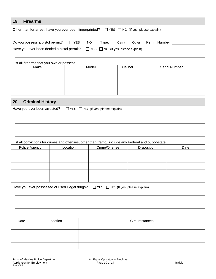#### **19. Firearms**

| Other than for arrest, have you ever been fingerprinted? $\Box$ YES $\Box$ NO (If yes, please explain) |                                               |  |
|--------------------------------------------------------------------------------------------------------|-----------------------------------------------|--|
| Do you possess a pistol permit? $\Box$ YES $\Box$ NO                                                   | $Type: \Box$ Carry $\Box$ Other Permit Number |  |
| Have you ever been denied a pistol permit? $\Box$ YES $\Box$ NO (If yes, please explain)               |                                               |  |

| List all firearms that you own or possess. |       |         |                      |  |
|--------------------------------------------|-------|---------|----------------------|--|
| Make                                       | Model | Caliber | <b>Serial Number</b> |  |
|                                            |       |         |                      |  |
|                                            |       |         |                      |  |
|                                            |       |         |                      |  |
|                                            |       |         |                      |  |

# **20. Criminal History**

|  | Have you ever been arrested? |  |  | $\Box$ YES $\Box$ NO (If yes, please explain) |
|--|------------------------------|--|--|-----------------------------------------------|
|--|------------------------------|--|--|-----------------------------------------------|

#### List all convictions for crimes and offenses, other than traffic, include any Federal and out-of-state.

| Police Agency | Location | Crime/Offense | Disposition | Date |
|---------------|----------|---------------|-------------|------|
|               |          |               |             |      |
|               |          |               |             |      |
|               |          |               |             |      |
|               |          |               |             |      |
|               |          |               |             |      |

| Have you ever possessed or used illegal drugs? □ YES □ NO (If yes, please explain) |  |  |  |
|------------------------------------------------------------------------------------|--|--|--|
|------------------------------------------------------------------------------------|--|--|--|

| Date | Location | Circumstances |
|------|----------|---------------|
|      |          |               |
|      |          |               |
|      |          |               |
|      |          |               |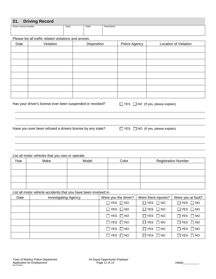#### **21. Driving Record**

| _____<br>- -          |       |       |                   |
|-----------------------|-------|-------|-------------------|
| Driver License Number | Class | State | Restrictions<br>. |
|                       |       |       |                   |
|                       |       |       |                   |
|                       |       |       |                   |

Please list all traffic related violations and arrests.

| Date | Violation | Disposition | Police Agency | Location of Violation |
|------|-----------|-------------|---------------|-----------------------|
|      |           |             |               |                       |
|      |           |             |               |                       |
|      |           |             |               |                       |
|      |           |             |               |                       |
|      |           |             |               |                       |
|      |           |             |               |                       |
|      |           |             |               |                       |
|      |           |             |               |                       |

Has your driver's license ever been suspended or revoked?  $\Box$  YES  $\Box$  NO (If yes, please explain)

Have you ever been refused a drivers license by any state?  $\Box$  YES  $\Box$  NO (If yes, please explain)

List all motor vehicles that you own or operate.

| Year | Make | Model | Color | <b>Registration Number</b> |
|------|------|-------|-------|----------------------------|
|      |      |       |       |                            |
|      |      |       |       |                            |
|      |      |       |       |                            |
|      |      |       |       |                            |

List all motor vehicle accidents that you have been involved in.

| Date | <b>Investigating Agency</b> | Were you the driver? | Were there injuries? | Were you at fault?   |
|------|-----------------------------|----------------------|----------------------|----------------------|
|      |                             | $\Box$ YES $\Box$ NO | $\Box$ YES $\Box$ NO | $\Box$ YES $\Box$ NO |
|      |                             | $\Box$ YES $\Box$ NO | $\Box$ YES $\Box$ NO | $\Box$ YES $\Box$ NO |
|      |                             | $\Box$ YES $\Box$ NO | $\Box$ YES $\Box$ NO | $\Box$ YES $\Box$ NO |
|      |                             | $\Box$ YES $\Box$ NO | $\Box$ YES $\Box$ NO | $\Box$ YES $\Box$ NO |
|      |                             | $\Box$ YES $\Box$ NO | $\Box$ YES $\Box$ NO | $\Box$ YES $\Box$ NO |
|      |                             | $\Box$ YES $\Box$ NO | $\Box$ YES $\Box$ NO | $\Box$ YES $\Box$ NO |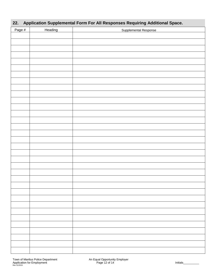| Application Supplemental Form For All Responses Requiring Additional Space.<br>22. |         |                       |  |  |  |
|------------------------------------------------------------------------------------|---------|-----------------------|--|--|--|
| Page #                                                                             | Heading | Supplemental Response |  |  |  |
|                                                                                    |         |                       |  |  |  |
|                                                                                    |         |                       |  |  |  |
|                                                                                    |         |                       |  |  |  |
|                                                                                    |         |                       |  |  |  |
|                                                                                    |         |                       |  |  |  |
|                                                                                    |         |                       |  |  |  |
|                                                                                    |         |                       |  |  |  |
|                                                                                    |         |                       |  |  |  |
|                                                                                    |         |                       |  |  |  |
|                                                                                    |         |                       |  |  |  |
|                                                                                    |         |                       |  |  |  |
|                                                                                    |         |                       |  |  |  |
|                                                                                    |         |                       |  |  |  |
|                                                                                    |         |                       |  |  |  |
|                                                                                    |         |                       |  |  |  |
|                                                                                    |         |                       |  |  |  |
|                                                                                    |         |                       |  |  |  |
|                                                                                    |         |                       |  |  |  |
|                                                                                    |         |                       |  |  |  |
|                                                                                    |         |                       |  |  |  |
|                                                                                    |         |                       |  |  |  |
|                                                                                    |         |                       |  |  |  |
|                                                                                    |         |                       |  |  |  |
|                                                                                    |         |                       |  |  |  |
|                                                                                    |         |                       |  |  |  |
|                                                                                    |         |                       |  |  |  |
|                                                                                    |         |                       |  |  |  |
|                                                                                    |         |                       |  |  |  |
|                                                                                    |         |                       |  |  |  |
|                                                                                    |         |                       |  |  |  |
|                                                                                    |         |                       |  |  |  |
|                                                                                    |         |                       |  |  |  |
|                                                                                    |         |                       |  |  |  |
|                                                                                    |         |                       |  |  |  |
|                                                                                    |         |                       |  |  |  |
|                                                                                    |         |                       |  |  |  |
|                                                                                    |         |                       |  |  |  |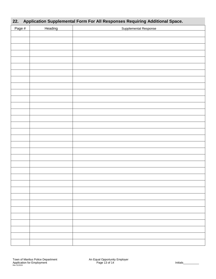#### **22. Application Supplemental Form For All Responses Requiring Additional Space.**

| Page # | Heading | Supplemental Response |
|--------|---------|-----------------------|
|        |         |                       |
|        |         |                       |
|        |         |                       |
|        |         |                       |
|        |         |                       |
|        |         |                       |
|        |         |                       |
|        |         |                       |
|        |         |                       |
|        |         |                       |
|        |         |                       |
|        |         |                       |
|        |         |                       |
|        |         |                       |
|        |         |                       |
|        |         |                       |
|        |         |                       |
|        |         |                       |
|        |         |                       |
|        |         |                       |
|        |         |                       |
|        |         |                       |
|        |         |                       |
|        |         |                       |
|        |         |                       |
|        |         |                       |
|        |         |                       |
|        |         |                       |
|        |         |                       |
|        |         |                       |
|        |         |                       |
|        |         |                       |
|        |         |                       |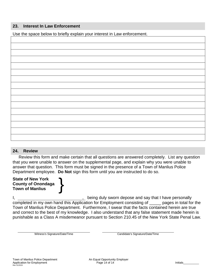#### **23. Interest In Law Enforcement**

Use the space below to briefly explain your interest in Law enforcement.

#### **24. Review**

 Review this form and make certain that all questions are answered completely. List any question that you were unable to answer on the supplemental page, and explain why you were unable to answer that question. This form must be signed in the presence of a Town of Manlius Police Department employee. **Do Not** sign this form until you are instructed to do so.

**State of New York County of Onondaga** State of New York<br>County of Onondaga<br>Town of Manlius

I, the ing duly sworn depose and say that I have personally completed in my own hand this Application for Employment consisting of \_\_\_\_\_ pages in total for the Town of Manlius Police Department. Furthermore, I swear that the facts contained herein are true and correct to the best of my knowledge. I also understand that any false statement made herein is punishable as a Class A misdemeanor pursuant to Section 210.45 of the New York State Penal Law.

Witness's Signature/Date/Time Candidate's Signature/Date/Time